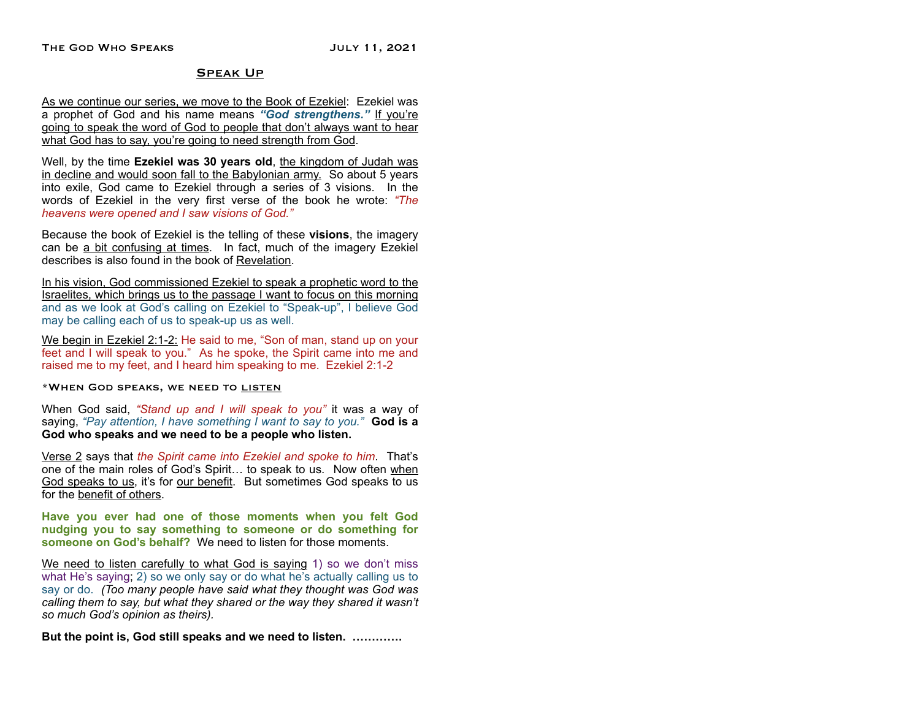# Speak Up

As we continue our series, we move to the Book of Ezekiel: Ezekiel was a prophet of God and his name means *"God strengthens."* If you're going to speak the word of God to people that don't always want to hear what God has to say, you're going to need strength from God.

Well, by the time **Ezekiel was 30 years old**, the kingdom of Judah was in decline and would soon fall to the Babylonian army. So about 5 years into exile, God came to Ezekiel through a series of 3 visions. In the words of Ezekiel in the very first verse of the book he wrote: *"The heavens were opened and I saw visions of God."*

Because the book of Ezekiel is the telling of these **visions**, the imagery can be a bit confusing at times. In fact, much of the imagery Ezekiel describes is also found in the book of Revelation.

In his vision, God commissioned Ezekiel to speak a prophetic word to the Israelites, which brings us to the passage I want to focus on this morning and as we look at God's calling on Ezekiel to "Speak-up", I believe God may be calling each of us to speak-up us as well.

We begin in Ezekiel 2:1-2: He said to me, "Son of man, stand up on your feet and I will speak to you." As he spoke, the Spirit came into me and raised me to my feet, and I heard him speaking to me. Ezekiel 2:1-2

\*When God speaks, we need to listen

When God said, *"Stand up and I will speak to you"* it was a way of saying, *"Pay attention, I have something I want to say to you."* **God is a God who speaks and we need to be a people who listen.** 

Verse 2 says that *the Spirit came into Ezekiel and spoke to him*. That's one of the main roles of God's Spirit… to speak to us. Now often when God speaks to us, it's for our benefit. But sometimes God speaks to us for the benefit of others.

**Have you ever had one of those moments when you felt God nudging you to say something to someone or do something for someone on God's behalf?** We need to listen for those moments.

We need to listen carefully to what God is saying 1) so we don't miss what He's saying; 2) so we only say or do what he's actually calling us to say or do. *(Too many people have said what they thought was God was calling them to say, but what they shared or the way they shared it wasn't so much God's opinion as theirs).* 

**But the point is, God still speaks and we need to listen. ………….**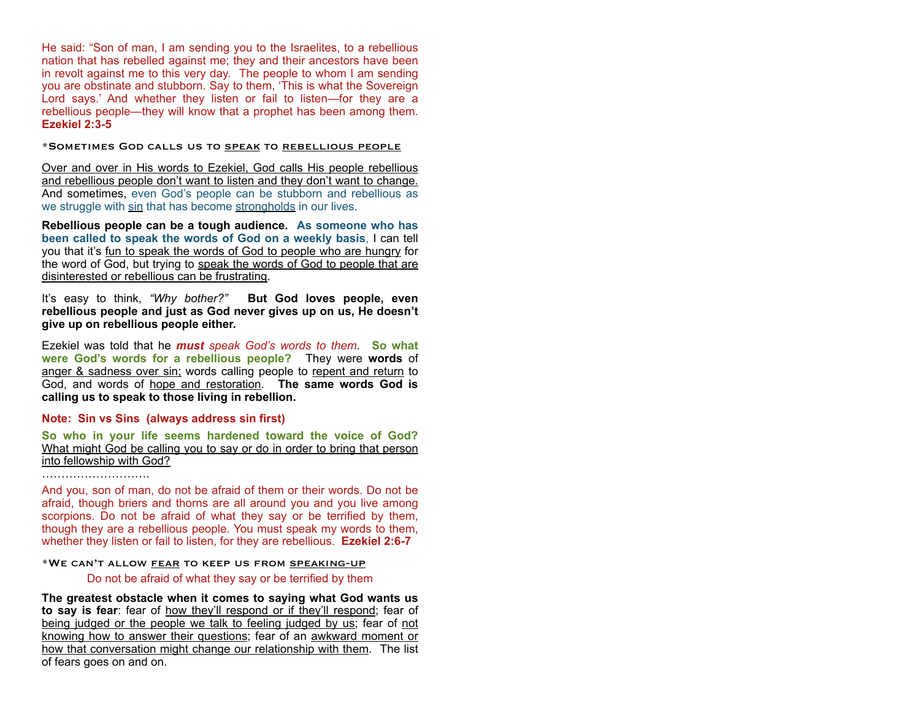He said: "Son of man, I am sending you to the Israelites, to a rebellious nation that has rebelled against me; they and their ancestors have been in revolt against me to this very day. The people to whom I am sending you are obstinate and stubborn. Say to them, 'This is what the Sovereign Lord says.' And whether they listen or fail to listen—for they are a rebellious people—they will know that a prophet has been among them. **Ezekiel 2:3-5**

\*Sometimes God calls us to speak to rebellious people

Over and over in His words to Ezekiel, God calls His people rebellious and rebellious people don't want to listen and they don't want to change. And sometimes, even God's people can be stubborn and rebellious as we struggle with sin that has become strongholds in our lives.

**Rebellious people can be a tough audience. As someone who has been called to speak the words of God on a weekly basis**, I can tell you that it's fun to speak the words of God to people who are hungry for the word of God, but trying to speak the words of God to people that are disinterested or rebellious can be frustrating.

It's easy to think, *"Why bother?"* **But God loves people, even rebellious people and just as God never gives up on us, He doesn't give up on rebellious people either.**

Ezekiel was told that he *must speak God's words to them*. **So what were God's words for a rebellious people?** They were **words** of anger & sadness over sin; words calling people to repent and return to God, and words of hope and restoration. **The same words God is calling us to speak to those living in rebellion.** 

# **Note: Sin vs Sins (always address sin first)**

**So who in your life seems hardened toward the voice of God?** What might God be calling you to say or do in order to bring that person into fellowship with God?

……………………………

And you, son of man, do not be afraid of them or their words. Do not be afraid, though briers and thorns are all around you and you live among scorpions. Do not be afraid of what they say or be terrified by them, though they are a rebellious people. You must speak my words to them, whether they listen or fail to listen, for they are rebellious. **Ezekiel 2:6-7**

\*We can't allow fear to keep us from speaking-up

Do not be afraid of what they say or be terrified by them

**The greatest obstacle when it comes to saying what God wants us to say is fear**: fear of how they'll respond or if they'll respond; fear of being judged or the people we talk to feeling judged by us; fear of not knowing how to answer their questions; fear of an awkward moment or how that conversation might change our relationship with them. The list of fears goes on and on.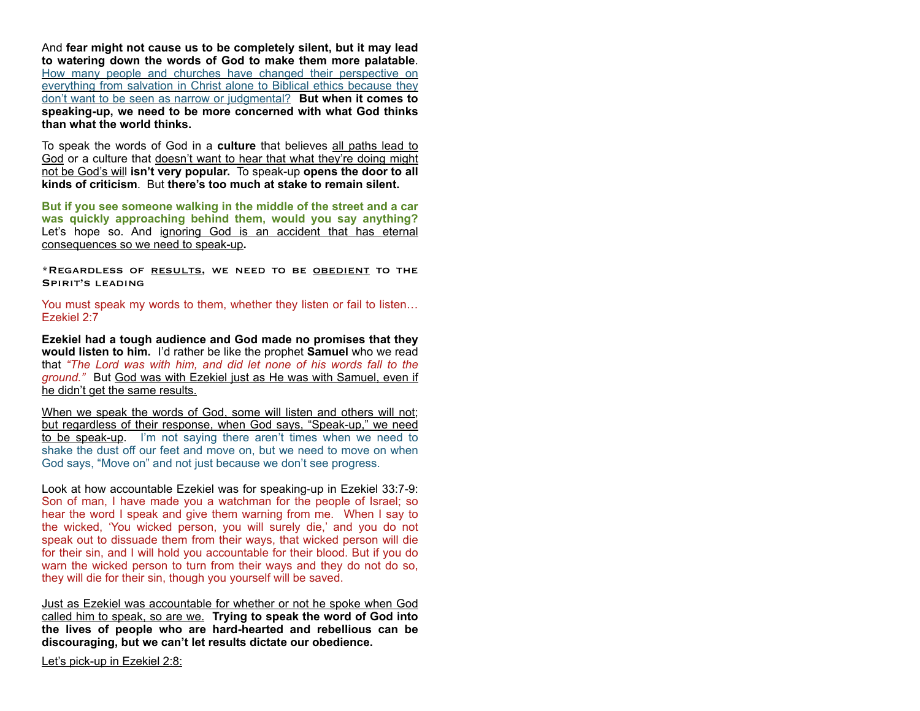And **fear might not cause us to be completely silent, but it may lead to watering down the words of God to make them more palatable**. How many people and churches have changed their perspective on everything from salvation in Christ alone to Biblical ethics because they don't want to be seen as narrow or judgmental? **But when it comes to speaking-up, we need to be more concerned with what God thinks than what the world thinks.** 

To speak the words of God in a **culture** that believes all paths lead to God or a culture that doesn't want to hear that what they're doing might not be God's will **isn't very popular.** To speak-up **opens the door to all kinds of criticism**. But **there's too much at stake to remain silent.** 

**But if you see someone walking in the middle of the street and a car was quickly approaching behind them, would you say anything?**  Let's hope so. And ignoring God is an accident that has eternal consequences so we need to speak-up**.** 

\*REGARDLESS OF RESULTS, WE NEED TO BE OBEDIENT TO THE SPIRIT'S LEADING

You must speak my words to them, whether they listen or fail to listen… Ezekiel 2:7

**Ezekiel had a tough audience and God made no promises that they would listen to him.** I'd rather be like the prophet **Samuel** who we read that *"The Lord was with him, and did let none of his words fall to the ground."* But God was with Ezekiel just as He was with Samuel, even if he didn't get the same results.

When we speak the words of God, some will listen and others will not; but regardless of their response, when God says, "Speak-up," we need to be speak-up. I'm not saying there aren't times when we need to shake the dust off our feet and move on, but we need to move on when God says, "Move on" and not just because we don't see progress.

Look at how accountable Ezekiel was for speaking-up in Ezekiel 33:7-9: Son of man, I have made you a watchman for the people of Israel; so hear the word I speak and give them warning from me. When I say to the wicked, 'You wicked person, you will surely die,' and you do not speak out to dissuade them from their ways, that wicked person will die for their sin, and I will hold you accountable for their blood. But if you do warn the wicked person to turn from their ways and they do not do so, they will die for their sin, though you yourself will be saved.

Just as Ezekiel was accountable for whether or not he spoke when God called him to speak, so are we. **Trying to speak the word of God into the lives of people who are hard-hearted and rebellious can be discouraging, but we can't let results dictate our obedience.** 

Let's pick-up in Ezekiel 2:8: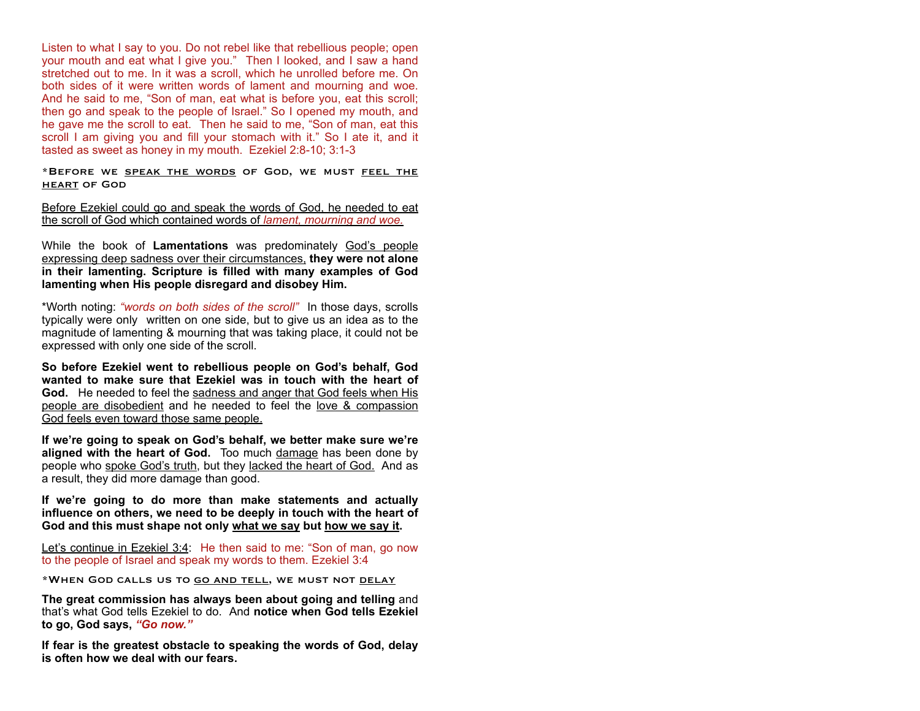Listen to what I say to you. Do not rebel like that rebellious people; open your mouth and eat what I give you." Then I looked, and I saw a hand stretched out to me. In it was a scroll, which he unrolled before me. On both sides of it were written words of lament and mourning and woe. And he said to me, "Son of man, eat what is before you, eat this scroll; then go and speak to the people of Israel." So I opened my mouth, and he gave me the scroll to eat. Then he said to me, "Son of man, eat this scroll I am giving you and fill your stomach with it." So I ate it, and it tasted as sweet as honey in my mouth. Ezekiel 2:8-10; 3:1-3

\*Before we speak the words of God, we must feel the heart of God

Before Ezekiel could go and speak the words of God, he needed to eat the scroll of God which contained words of *lament, mourning and woe.*

While the book of **Lamentations** was predominately God's people expressing deep sadness over their circumstances, **they were not alone in their lamenting. Scripture is filled with many examples of God lamenting when His people disregard and disobey Him.** 

\*Worth noting: *"words on both sides of the scroll"* In those days, scrolls typically were only written on one side, but to give us an idea as to the magnitude of lamenting & mourning that was taking place, it could not be expressed with only one side of the scroll.

**So before Ezekiel went to rebellious people on God's behalf, God wanted to make sure that Ezekiel was in touch with the heart of God.** He needed to feel the sadness and anger that God feels when His people are disobedient and he needed to feel the love & compassion God feels even toward those same people.

**If we're going to speak on God's behalf, we better make sure we're**  aligned with the heart of God. Too much damage has been done by people who spoke God's truth, but they lacked the heart of God. And as a result, they did more damage than good.

**If we're going to do more than make statements and actually influence on others, we need to be deeply in touch with the heart of God and this must shape not only what we say but how we say it.** 

Let's continue in Ezekiel 3:4: He then said to me: "Son of man, go now to the people of Israel and speak my words to them. Ezekiel 3:4

\*When God calls us to go and tell, we must not delay

**The great commission has always been about going and telling** and that's what God tells Ezekiel to do. And **notice when God tells Ezekiel to go, God says,** *"Go now."*

**If fear is the greatest obstacle to speaking the words of God, delay is often how we deal with our fears.**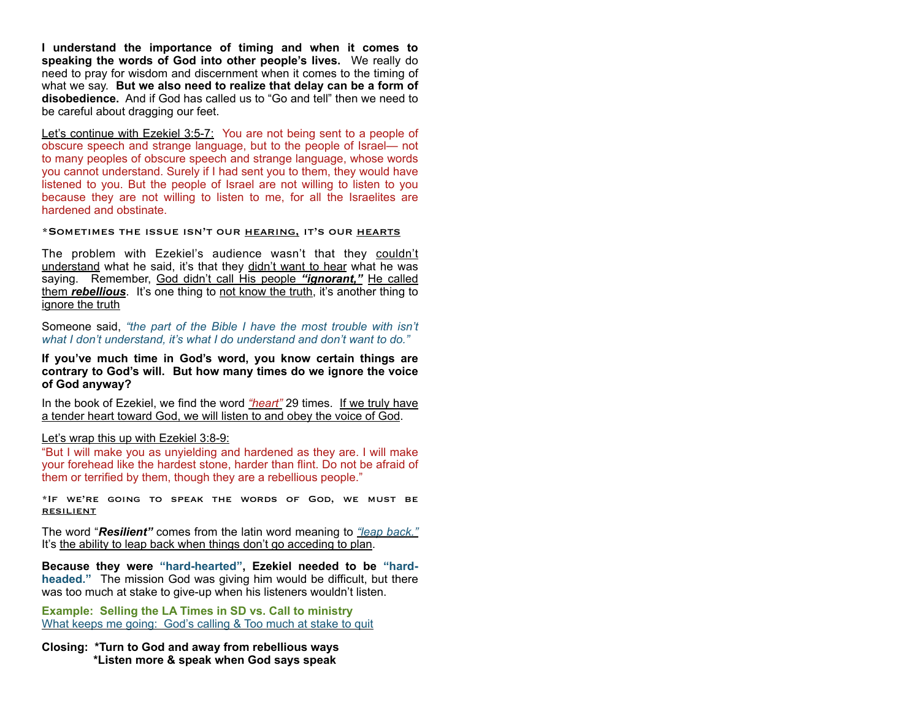**I understand the importance of timing and when it comes to speaking the words of God into other people's lives.** We really do need to pray for wisdom and discernment when it comes to the timing of what we say. **But we also need to realize that delay can be a form of disobedience.** And if God has called us to "Go and tell" then we need to be careful about dragging our feet.

Let's continue with Ezekiel 3:5-7: You are not being sent to a people of obscure speech and strange language, but to the people of Israel— not to many peoples of obscure speech and strange language, whose words you cannot understand. Surely if I had sent you to them, they would have listened to you. But the people of Israel are not willing to listen to you because they are not willing to listen to me, for all the Israelites are hardened and obstinate.

#### \*Sometimes the issue isn't our hearing, it's our hearts

The problem with Ezekiel's audience wasn't that they couldn't understand what he said, it's that they didn't want to hear what he was saying. Remember, God didn't call His people *"ignorant,"* He called them *rebellious*. It's one thing to not know the truth, it's another thing to ignore the truth

Someone said, *"the part of the Bible I have the most trouble with isn't what I don't understand, it's what I do understand and don't want to do."* 

**If you've much time in God's word, you know certain things are contrary to God's will. But how many times do we ignore the voice of God anyway?** 

In the book of Ezekiel, we find the word *"heart"* 29 times. If we truly have a tender heart toward God, we will listen to and obey the voice of God.

### Let's wrap this up with Ezekiel 3:8-9:

"But I will make you as unyielding and hardened as they are. I will make your forehead like the hardest stone, harder than flint. Do not be afraid of them or terrified by them, though they are a rebellious people."

\*If we're going to speak the words of God, we must be resilient

The word "*Resilient"* comes from the latin word meaning to *"leap back."*  It's the ability to leap back when things don't go acceding to plan.

**Because they were "hard-hearted", Ezekiel needed to be "hardheaded."** The mission God was giving him would be difficult, but there was too much at stake to give-up when his listeners wouldn't listen.

**Example: Selling the LA Times in SD vs. Call to ministry**  What keeps me going: God's calling & Too much at stake to quit

### **Closing: \*Turn to God and away from rebellious ways \*Listen more & speak when God says speak**